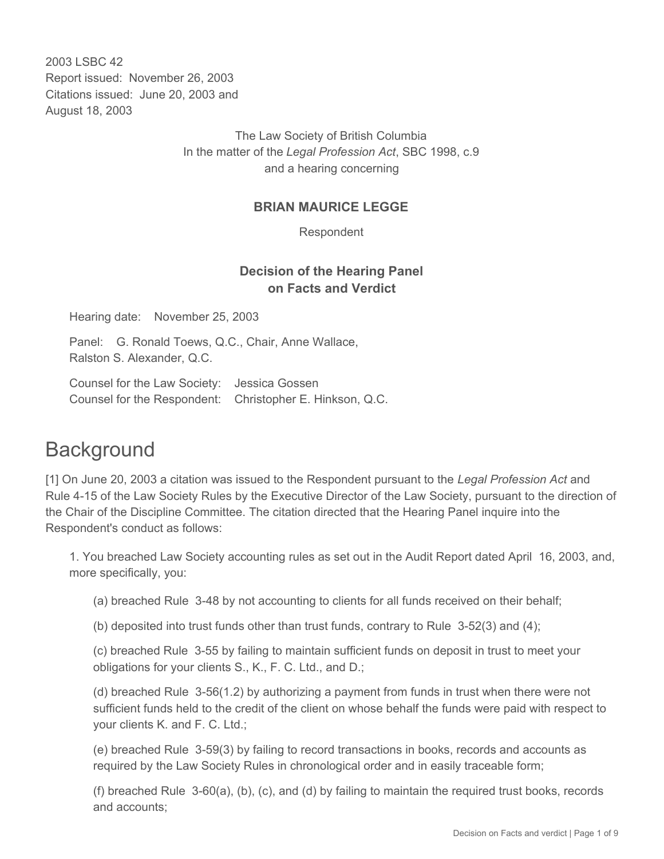2003 LSBC 42 Report issued: November 26, 2003 Citations issued: June 20, 2003 and August 18, 2003

> The Law Society of British Columbia In the matter of the *Legal Profession Act*, SBC 1998, c.9 and a hearing concerning

### **BRIAN MAURICE LEGGE**

Respondent

# **Decision of the Hearing Panel on Facts and Verdict**

Hearing date: November 25, 2003

Panel: G. Ronald Toews, Q.C., Chair, Anne Wallace, Ralston S. Alexander, Q.C.

Counsel for the Law Society: Jessica Gossen Counsel for the Respondent: Christopher E. Hinkson, Q.C.

# **Background**

[1] On June 20, 2003 a citation was issued to the Respondent pursuant to the *Legal Profession Act* and Rule 4-15 of the Law Society Rules by the Executive Director of the Law Society, pursuant to the direction of the Chair of the Discipline Committee. The citation directed that the Hearing Panel inquire into the Respondent's conduct as follows:

1. You breached Law Society accounting rules as set out in the Audit Report dated April 16, 2003, and, more specifically, you:

(a) breached Rule 3-48 by not accounting to clients for all funds received on their behalf;

(b) deposited into trust funds other than trust funds, contrary to Rule 3-52(3) and (4);

(c) breached Rule 3-55 by failing to maintain sufficient funds on deposit in trust to meet your obligations for your clients S., K., F. C. Ltd., and D.;

(d) breached Rule 3-56(1.2) by authorizing a payment from funds in trust when there were not sufficient funds held to the credit of the client on whose behalf the funds were paid with respect to your clients K. and F. C. Ltd.;

(e) breached Rule 3-59(3) by failing to record transactions in books, records and accounts as required by the Law Society Rules in chronological order and in easily traceable form;

(f) breached Rule 3-60(a), (b), (c), and (d) by failing to maintain the required trust books, records and accounts;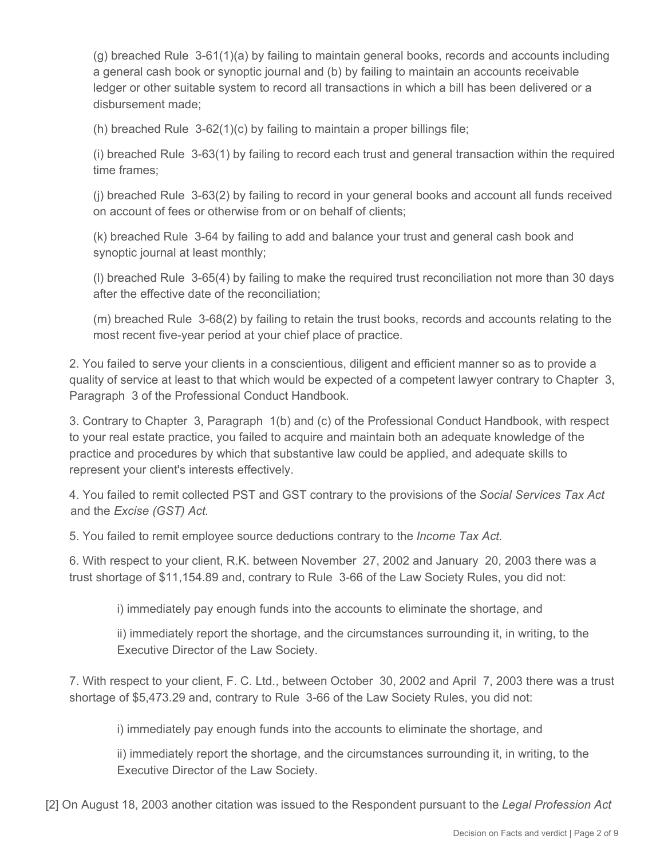(g) breached Rule 3-61(1)(a) by failing to maintain general books, records and accounts including a general cash book or synoptic journal and (b) by failing to maintain an accounts receivable ledger or other suitable system to record all transactions in which a bill has been delivered or a disbursement made;

(h) breached Rule 3-62(1)(c) by failing to maintain a proper billings file;

(i) breached Rule 3-63(1) by failing to record each trust and general transaction within the required time frames;

(j) breached Rule 3-63(2) by failing to record in your general books and account all funds received on account of fees or otherwise from or on behalf of clients;

(k) breached Rule 3-64 by failing to add and balance your trust and general cash book and synoptic journal at least monthly;

(l) breached Rule 3-65(4) by failing to make the required trust reconciliation not more than 30 days after the effective date of the reconciliation;

(m) breached Rule 3-68(2) by failing to retain the trust books, records and accounts relating to the most recent five-year period at your chief place of practice.

2. You failed to serve your clients in a conscientious, diligent and efficient manner so as to provide a quality of service at least to that which would be expected of a competent lawyer contrary to Chapter 3, Paragraph 3 of the Professional Conduct Handbook.

3. Contrary to Chapter 3, Paragraph 1(b) and (c) of the Professional Conduct Handbook, with respect to your real estate practice, you failed to acquire and maintain both an adequate knowledge of the practice and procedures by which that substantive law could be applied, and adequate skills to represent your client's interests effectively.

4. You failed to remit collected PST and GST contrary to the provisions of the *Social Services Tax Act* and the *Excise (GST) Act.*

5. You failed to remit employee source deductions contrary to the *Income Tax Act.*

6. With respect to your client, R.K. between November 27, 2002 and January 20, 2003 there was a trust shortage of \$11,154.89 and, contrary to Rule 3-66 of the Law Society Rules, you did not:

i) immediately pay enough funds into the accounts to eliminate the shortage, and

ii) immediately report the shortage, and the circumstances surrounding it, in writing, to the Executive Director of the Law Society.

7. With respect to your client, F. C. Ltd., between October 30, 2002 and April 7, 2003 there was a trust shortage of \$5,473.29 and, contrary to Rule 3-66 of the Law Society Rules, you did not:

i) immediately pay enough funds into the accounts to eliminate the shortage, and

ii) immediately report the shortage, and the circumstances surrounding it, in writing, to the Executive Director of the Law Society.

[2] On August 18, 2003 another citation was issued to the Respondent pursuant to the *Legal Profession Act*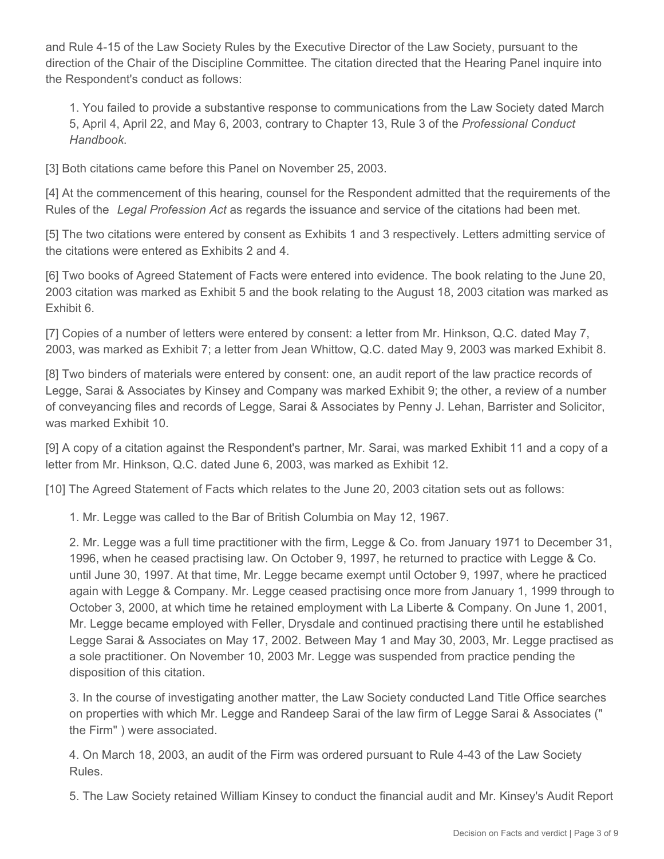and Rule 4-15 of the Law Society Rules by the Executive Director of the Law Society, pursuant to the direction of the Chair of the Discipline Committee. The citation directed that the Hearing Panel inquire into the Respondent's conduct as follows:

1. You failed to provide a substantive response to communications from the Law Society dated March 5, April 4, April 22, and May 6, 2003, contrary to Chapter 13, Rule 3 of the *Professional Conduct Handbook*.

[3] Both citations came before this Panel on November 25, 2003.

[4] At the commencement of this hearing, counsel for the Respondent admitted that the requirements of the Rules of the *Legal Profession Act* as regards the issuance and service of the citations had been met.

[5] The two citations were entered by consent as Exhibits 1 and 3 respectively. Letters admitting service of the citations were entered as Exhibits 2 and 4.

[6] Two books of Agreed Statement of Facts were entered into evidence. The book relating to the June 20, 2003 citation was marked as Exhibit 5 and the book relating to the August 18, 2003 citation was marked as Exhibit 6.

[7] Copies of a number of letters were entered by consent: a letter from Mr. Hinkson, Q.C. dated May 7, 2003, was marked as Exhibit 7; a letter from Jean Whittow, Q.C. dated May 9, 2003 was marked Exhibit 8.

[8] Two binders of materials were entered by consent: one, an audit report of the law practice records of Legge, Sarai & Associates by Kinsey and Company was marked Exhibit 9; the other, a review of a number of conveyancing files and records of Legge, Sarai & Associates by Penny J. Lehan, Barrister and Solicitor, was marked Exhibit 10.

[9] A copy of a citation against the Respondent's partner, Mr. Sarai, was marked Exhibit 11 and a copy of a letter from Mr. Hinkson, Q.C. dated June 6, 2003, was marked as Exhibit 12.

[10] The Agreed Statement of Facts which relates to the June 20, 2003 citation sets out as follows:

1. Mr. Legge was called to the Bar of British Columbia on May 12, 1967.

2. Mr. Legge was a full time practitioner with the firm, Legge & Co. from January 1971 to December 31, 1996, when he ceased practising law. On October 9, 1997, he returned to practice with Legge & Co. until June 30, 1997. At that time, Mr. Legge became exempt until October 9, 1997, where he practiced again with Legge & Company. Mr. Legge ceased practising once more from January 1, 1999 through to October 3, 2000, at which time he retained employment with La Liberte & Company. On June 1, 2001, Mr. Legge became employed with Feller, Drysdale and continued practising there until he established Legge Sarai & Associates on May 17, 2002. Between May 1 and May 30, 2003, Mr. Legge practised as a sole practitioner. On November 10, 2003 Mr. Legge was suspended from practice pending the disposition of this citation.

3. In the course of investigating another matter, the Law Society conducted Land Title Office searches on properties with which Mr. Legge and Randeep Sarai of the law firm of Legge Sarai & Associates (" the Firm" ) were associated.

4. On March 18, 2003, an audit of the Firm was ordered pursuant to Rule 4-43 of the Law Society Rules.

5. The Law Society retained William Kinsey to conduct the financial audit and Mr. Kinsey's Audit Report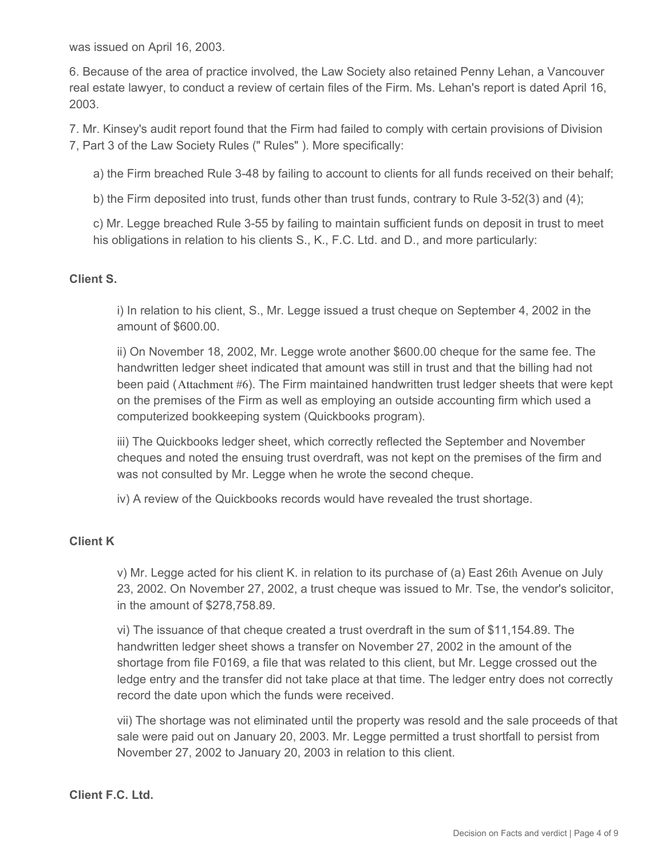was issued on April 16, 2003.

6. Because of the area of practice involved, the Law Society also retained Penny Lehan, a Vancouver real estate lawyer, to conduct a review of certain files of the Firm. Ms. Lehan's report is dated April 16, 2003.

7. Mr. Kinsey's audit report found that the Firm had failed to comply with certain provisions of Division 7, Part 3 of the Law Society Rules (" Rules" ). More specifically:

a) the Firm breached Rule 3-48 by failing to account to clients for all funds received on their behalf;

b) the Firm deposited into trust, funds other than trust funds, contrary to Rule 3-52(3) and (4);

c) Mr. Legge breached Rule 3-55 by failing to maintain sufficient funds on deposit in trust to meet his obligations in relation to his clients S., K., F.C. Ltd. and D., and more particularly:

#### **Client S.**

i) In relation to his client, S., Mr. Legge issued a trust cheque on September 4, 2002 in the amount of \$600.00.

ii) On November 18, 2002, Mr. Legge wrote another \$600.00 cheque for the same fee. The handwritten ledger sheet indicated that amount was still in trust and that the billing had not been paid (Attachment #6). The Firm maintained handwritten trust ledger sheets that were kept on the premises of the Firm as well as employing an outside accounting firm which used a computerized bookkeeping system (Quickbooks program).

iii) The Quickbooks ledger sheet, which correctly reflected the September and November cheques and noted the ensuing trust overdraft, was not kept on the premises of the firm and was not consulted by Mr. Legge when he wrote the second cheque.

iv) A review of the Quickbooks records would have revealed the trust shortage.

#### **Client K**

v) Mr. Legge acted for his client K. in relation to its purchase of (a) East 26th Avenue on July 23, 2002. On November 27, 2002, a trust cheque was issued to Mr. Tse, the vendor's solicitor, in the amount of \$278,758.89.

vi) The issuance of that cheque created a trust overdraft in the sum of \$11,154.89. The handwritten ledger sheet shows a transfer on November 27, 2002 in the amount of the shortage from file F0169, a file that was related to this client, but Mr. Legge crossed out the ledge entry and the transfer did not take place at that time. The ledger entry does not correctly record the date upon which the funds were received.

vii) The shortage was not eliminated until the property was resold and the sale proceeds of that sale were paid out on January 20, 2003. Mr. Legge permitted a trust shortfall to persist from November 27, 2002 to January 20, 2003 in relation to this client.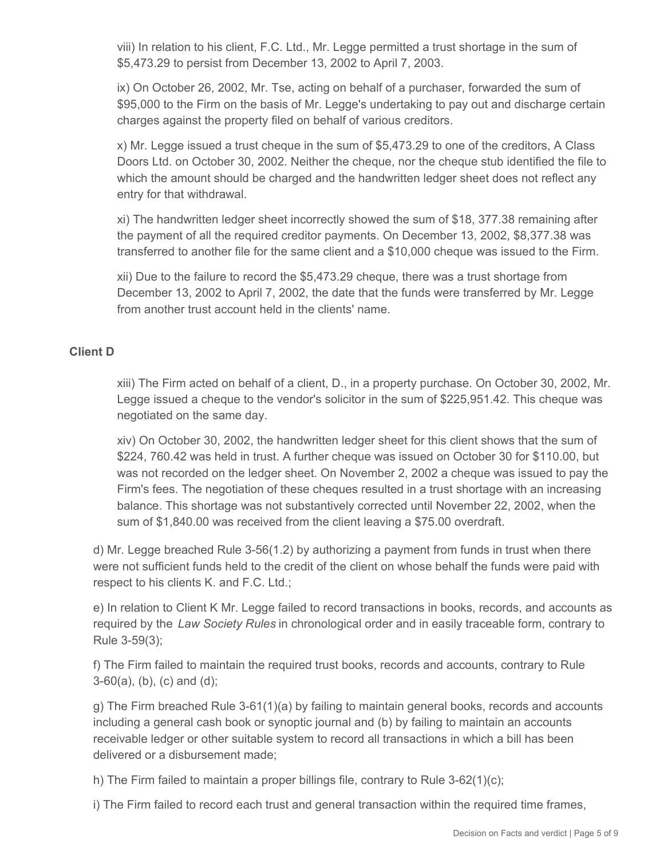viii) In relation to his client, F.C. Ltd., Mr. Legge permitted a trust shortage in the sum of \$5,473.29 to persist from December 13, 2002 to April 7, 2003.

ix) On October 26, 2002, Mr. Tse, acting on behalf of a purchaser, forwarded the sum of \$95,000 to the Firm on the basis of Mr. Legge's undertaking to pay out and discharge certain charges against the property filed on behalf of various creditors.

x) Mr. Legge issued a trust cheque in the sum of \$5,473.29 to one of the creditors, A Class Doors Ltd. on October 30, 2002. Neither the cheque, nor the cheque stub identified the file to which the amount should be charged and the handwritten ledger sheet does not reflect any entry for that withdrawal.

xi) The handwritten ledger sheet incorrectly showed the sum of \$18, 377.38 remaining after the payment of all the required creditor payments. On December 13, 2002, \$8,377.38 was transferred to another file for the same client and a \$10,000 cheque was issued to the Firm.

xii) Due to the failure to record the \$5,473.29 cheque, there was a trust shortage from December 13, 2002 to April 7, 2002, the date that the funds were transferred by Mr. Legge from another trust account held in the clients' name.

## **Client D**

xiii) The Firm acted on behalf of a client, D., in a property purchase. On October 30, 2002, Mr. Legge issued a cheque to the vendor's solicitor in the sum of \$225,951.42. This cheque was negotiated on the same day.

xiv) On October 30, 2002, the handwritten ledger sheet for this client shows that the sum of \$224, 760.42 was held in trust. A further cheque was issued on October 30 for \$110.00, but was not recorded on the ledger sheet. On November 2, 2002 a cheque was issued to pay the Firm's fees. The negotiation of these cheques resulted in a trust shortage with an increasing balance. This shortage was not substantively corrected until November 22, 2002, when the sum of \$1,840.00 was received from the client leaving a \$75.00 overdraft.

d) Mr. Legge breached Rule 3-56(1.2) by authorizing a payment from funds in trust when there were not sufficient funds held to the credit of the client on whose behalf the funds were paid with respect to his clients K. and F.C. Ltd.;

e) In relation to Client K Mr. Legge failed to record transactions in books, records, and accounts as required by the *Law Society Rules* in chronological order and in easily traceable form, contrary to Rule 3-59(3);

f) The Firm failed to maintain the required trust books, records and accounts, contrary to Rule 3-60(a), (b), (c) and (d);

g) The Firm breached Rule 3-61(1)(a) by failing to maintain general books, records and accounts including a general cash book or synoptic journal and (b) by failing to maintain an accounts receivable ledger or other suitable system to record all transactions in which a bill has been delivered or a disbursement made;

h) The Firm failed to maintain a proper billings file, contrary to Rule  $3-62(1)(c)$ ;

i) The Firm failed to record each trust and general transaction within the required time frames,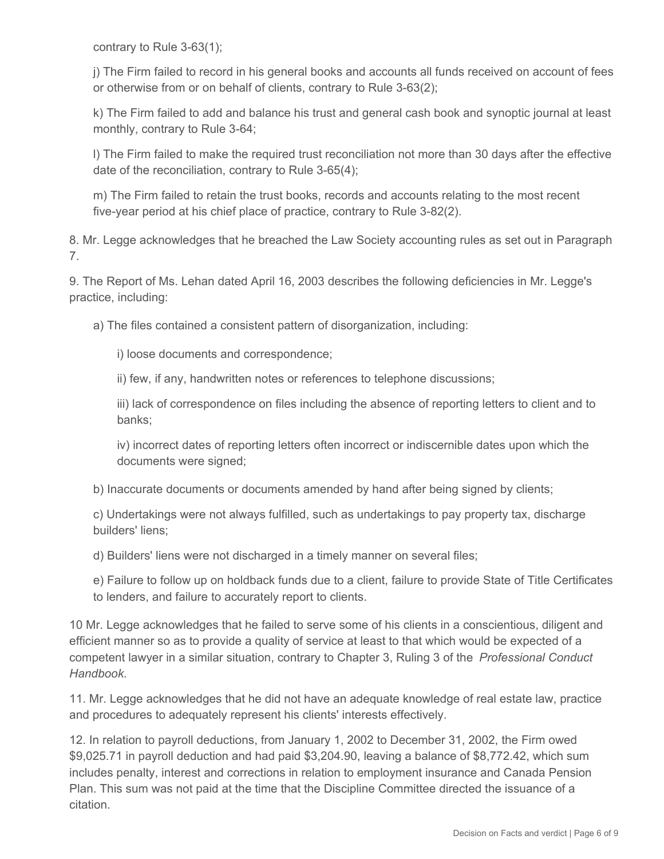contrary to Rule 3-63(1);

j) The Firm failed to record in his general books and accounts all funds received on account of fees or otherwise from or on behalf of clients, contrary to Rule 3-63(2);

k) The Firm failed to add and balance his trust and general cash book and synoptic journal at least monthly, contrary to Rule 3-64;

l) The Firm failed to make the required trust reconciliation not more than 30 days after the effective date of the reconciliation, contrary to Rule 3-65(4);

m) The Firm failed to retain the trust books, records and accounts relating to the most recent five-year period at his chief place of practice, contrary to Rule 3-82(2).

8. Mr. Legge acknowledges that he breached the Law Society accounting rules as set out in Paragraph 7.

9. The Report of Ms. Lehan dated April 16, 2003 describes the following deficiencies in Mr. Legge's practice, including:

a) The files contained a consistent pattern of disorganization, including:

i) loose documents and correspondence;

ii) few, if any, handwritten notes or references to telephone discussions;

iii) lack of correspondence on files including the absence of reporting letters to client and to banks;

iv) incorrect dates of reporting letters often incorrect or indiscernible dates upon which the documents were signed;

b) Inaccurate documents or documents amended by hand after being signed by clients;

c) Undertakings were not always fulfilled, such as undertakings to pay property tax, discharge builders' liens;

d) Builders' liens were not discharged in a timely manner on several files;

e) Failure to follow up on holdback funds due to a client, failure to provide State of Title Certificates to lenders, and failure to accurately report to clients.

10 Mr. Legge acknowledges that he failed to serve some of his clients in a conscientious, diligent and efficient manner so as to provide a quality of service at least to that which would be expected of a competent lawyer in a similar situation, contrary to Chapter 3, Ruling 3 of the *Professional Conduct Handbook*.

11. Mr. Legge acknowledges that he did not have an adequate knowledge of real estate law, practice and procedures to adequately represent his clients' interests effectively.

12. In relation to payroll deductions, from January 1, 2002 to December 31, 2002, the Firm owed \$9,025.71 in payroll deduction and had paid \$3,204.90, leaving a balance of \$8,772.42, which sum includes penalty, interest and corrections in relation to employment insurance and Canada Pension Plan. This sum was not paid at the time that the Discipline Committee directed the issuance of a citation.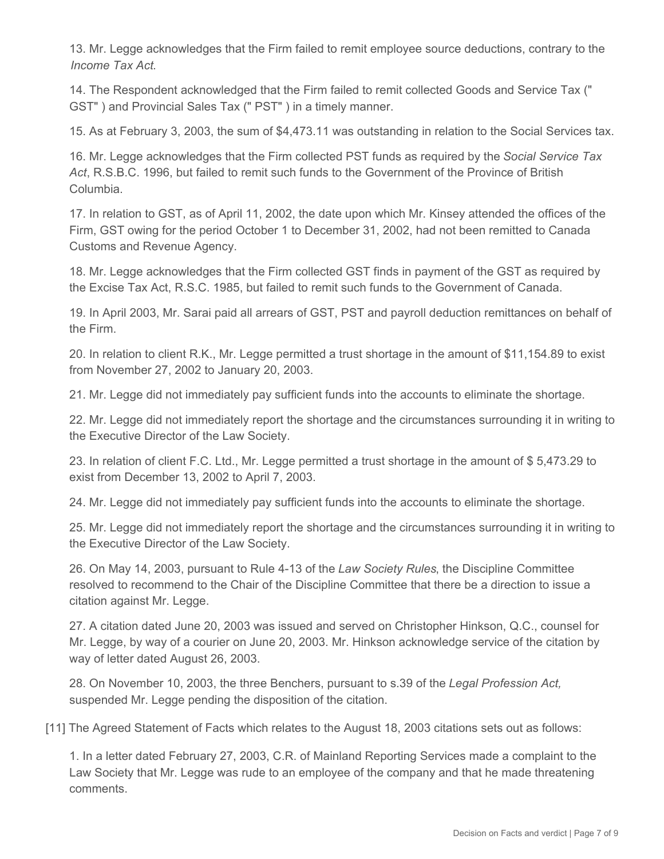13. Mr. Legge acknowledges that the Firm failed to remit employee source deductions, contrary to the *Income Tax Act*.

14. The Respondent acknowledged that the Firm failed to remit collected Goods and Service Tax (" GST" ) and Provincial Sales Tax (" PST" ) in a timely manner.

15. As at February 3, 2003, the sum of \$4,473.11 was outstanding in relation to the Social Services tax.

16. Mr. Legge acknowledges that the Firm collected PST funds as required by the *Social Service Tax Act*, R.S.B.C. 1996, but failed to remit such funds to the Government of the Province of British Columbia.

17. In relation to GST, as of April 11, 2002, the date upon which Mr. Kinsey attended the offices of the Firm, GST owing for the period October 1 to December 31, 2002, had not been remitted to Canada Customs and Revenue Agency.

18. Mr. Legge acknowledges that the Firm collected GST finds in payment of the GST as required by the Excise Tax Act, R.S.C. 1985, but failed to remit such funds to the Government of Canada.

19. In April 2003, Mr. Sarai paid all arrears of GST, PST and payroll deduction remittances on behalf of the Firm.

20. In relation to client R.K., Mr. Legge permitted a trust shortage in the amount of \$11,154.89 to exist from November 27, 2002 to January 20, 2003.

21. Mr. Legge did not immediately pay sufficient funds into the accounts to eliminate the shortage.

22. Mr. Legge did not immediately report the shortage and the circumstances surrounding it in writing to the Executive Director of the Law Society.

23. In relation of client F.C. Ltd., Mr. Legge permitted a trust shortage in the amount of \$ 5,473.29 to exist from December 13, 2002 to April 7, 2003.

24. Mr. Legge did not immediately pay sufficient funds into the accounts to eliminate the shortage.

25. Mr. Legge did not immediately report the shortage and the circumstances surrounding it in writing to the Executive Director of the Law Society.

26. On May 14, 2003, pursuant to Rule 4-13 of the *Law Society Rules*, the Discipline Committee resolved to recommend to the Chair of the Discipline Committee that there be a direction to issue a citation against Mr. Legge.

27. A citation dated June 20, 2003 was issued and served on Christopher Hinkson, Q.C., counsel for Mr. Legge, by way of a courier on June 20, 2003. Mr. Hinkson acknowledge service of the citation by way of letter dated August 26, 2003.

28. On November 10, 2003, the three Benchers, pursuant to s.39 of the *Legal Profession Act,* suspended Mr. Legge pending the disposition of the citation.

[11] The Agreed Statement of Facts which relates to the August 18, 2003 citations sets out as follows:

1. In a letter dated February 27, 2003, C.R. of Mainland Reporting Services made a complaint to the Law Society that Mr. Legge was rude to an employee of the company and that he made threatening comments.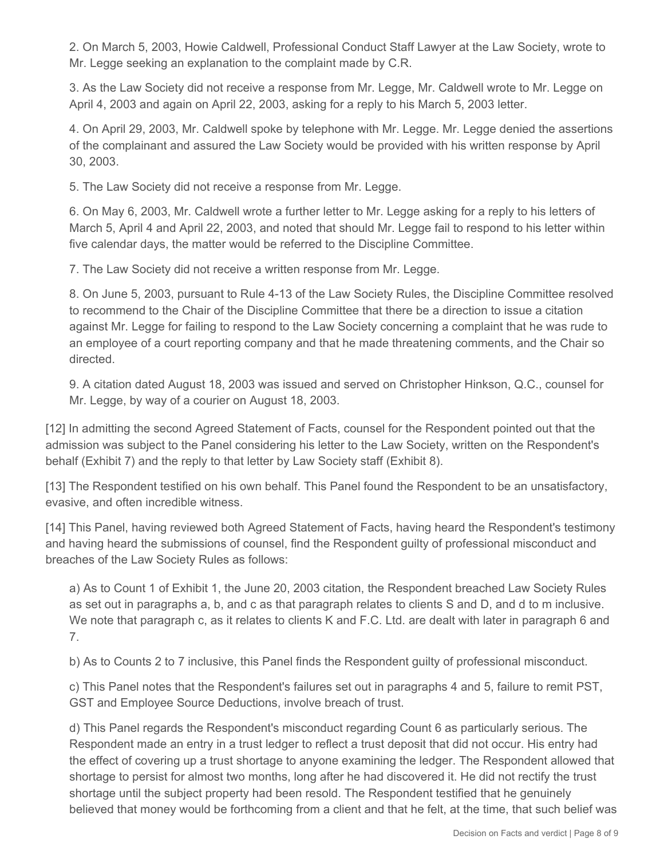2. On March 5, 2003, Howie Caldwell, Professional Conduct Staff Lawyer at the Law Society, wrote to Mr. Legge seeking an explanation to the complaint made by C.R.

3. As the Law Society did not receive a response from Mr. Legge, Mr. Caldwell wrote to Mr. Legge on April 4, 2003 and again on April 22, 2003, asking for a reply to his March 5, 2003 letter.

4. On April 29, 2003, Mr. Caldwell spoke by telephone with Mr. Legge. Mr. Legge denied the assertions of the complainant and assured the Law Society would be provided with his written response by April 30, 2003.

5. The Law Society did not receive a response from Mr. Legge.

6. On May 6, 2003, Mr. Caldwell wrote a further letter to Mr. Legge asking for a reply to his letters of March 5, April 4 and April 22, 2003, and noted that should Mr. Legge fail to respond to his letter within five calendar days, the matter would be referred to the Discipline Committee.

7. The Law Society did not receive a written response from Mr. Legge.

8. On June 5, 2003, pursuant to Rule 4-13 of the Law Society Rules, the Discipline Committee resolved to recommend to the Chair of the Discipline Committee that there be a direction to issue a citation against Mr. Legge for failing to respond to the Law Society concerning a complaint that he was rude to an employee of a court reporting company and that he made threatening comments, and the Chair so directed.

9. A citation dated August 18, 2003 was issued and served on Christopher Hinkson, Q.C., counsel for Mr. Legge, by way of a courier on August 18, 2003.

[12] In admitting the second Agreed Statement of Facts, counsel for the Respondent pointed out that the admission was subject to the Panel considering his letter to the Law Society, written on the Respondent's behalf (Exhibit 7) and the reply to that letter by Law Society staff (Exhibit 8).

[13] The Respondent testified on his own behalf. This Panel found the Respondent to be an unsatisfactory, evasive, and often incredible witness.

[14] This Panel, having reviewed both Agreed Statement of Facts, having heard the Respondent's testimony and having heard the submissions of counsel, find the Respondent guilty of professional misconduct and breaches of the Law Society Rules as follows:

a) As to Count 1 of Exhibit 1, the June 20, 2003 citation, the Respondent breached Law Society Rules as set out in paragraphs a, b, and c as that paragraph relates to clients S and D, and d to m inclusive. We note that paragraph c, as it relates to clients K and F.C. Ltd. are dealt with later in paragraph 6 and 7.

b) As to Counts 2 to 7 inclusive, this Panel finds the Respondent guilty of professional misconduct.

c) This Panel notes that the Respondent's failures set out in paragraphs 4 and 5, failure to remit PST, GST and Employee Source Deductions, involve breach of trust.

d) This Panel regards the Respondent's misconduct regarding Count 6 as particularly serious. The Respondent made an entry in a trust ledger to reflect a trust deposit that did not occur. His entry had the effect of covering up a trust shortage to anyone examining the ledger. The Respondent allowed that shortage to persist for almost two months, long after he had discovered it. He did not rectify the trust shortage until the subject property had been resold. The Respondent testified that he genuinely believed that money would be forthcoming from a client and that he felt, at the time, that such belief was